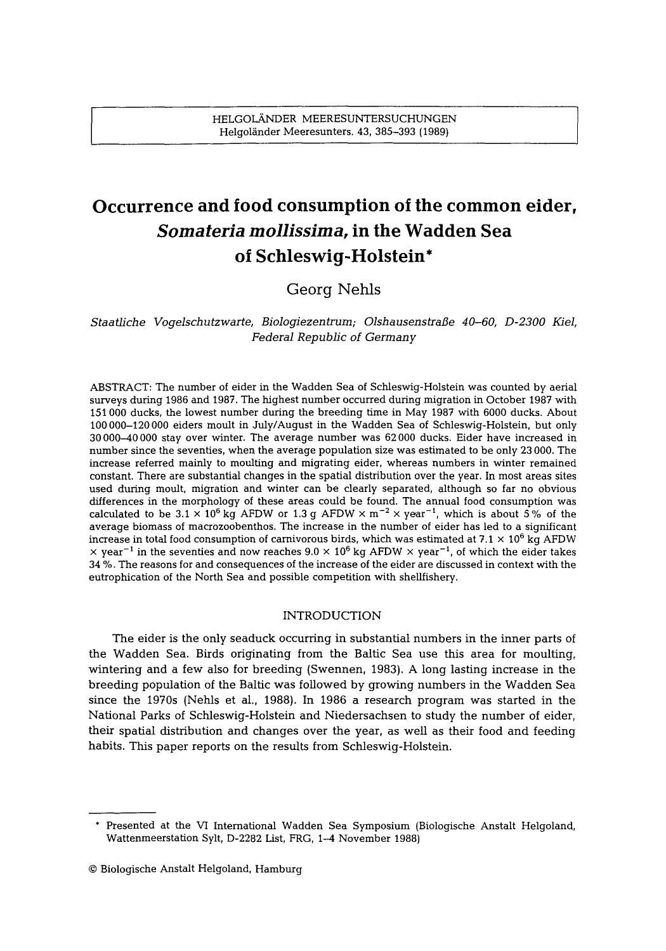# **Occurrence and food consumption of the common eider,**  *Somateria mollissima,* **in the Wadden Sea of Schleswig-Holstein\***

# Georg Nehls

## *Staatliche Vogelschutzwarte, Biologiezentrum; Olshausenstrafle 40-60, D-2300 Kiel, Federal Republic of Germany*

ABSTRACT: The number of eider in the Wadden Sea of Schleswig-Holstein was counted by aerial surveys during 1986 and 1987. The highest number occurred during migration in October 1987 with 151 000 ducks, the lowest number during the breeding time in May 1987 with 6000 ducks. About 100 000-120 000 eiders moult in July/August in the Wadden Sea of Schleswig-Holstein, but only 30 000-40 000 stay over winter. The average number was 62 000 ducks. Eider have increased in number since the seventies, when the average population size was estimated to be only 23 000. The increase referred mainly to moulting and migrating eider, whereas numbers in winter remained constant. There are substantial changes in the spatial distribution over the year. In most areas sites used during moult, migration and winter can be clearly separated, although so far no obvious differences in the morphology of these areas could be found. The annual food consumption was calculated to be  $3.1 \times 10^6$  kg AFDW or 1.3 g AFDW  $\times$  m<sup>-2</sup>  $\times$  year<sup>-1</sup>, which is about 5% of the average biomass of macrozoobenthos. The increase in the number of eider has led to a significant increase in total food consumption of carnivorous birds, which was estimated at 7.1  $\times$  10<sup>6</sup> kg AFDW  $\times$  year<sup>-1</sup> in the seventies and now reaches 9.0  $\times$  10<sup>6</sup> kg AFDW  $\times$  year<sup>-1</sup>, of which the eider takes 34 %. The reasons for and consequences of the increase of the eider are discussed in context with the eutrophication of the North Sea and possible competition with shellfishery.

### INTRODUCTION

The eider is the only seaduck occurring in substantial numbers in the inner parts of the Wadden Sea. Birds originating from the Baltic Sea use this area for moulting, wintering and a few also for breeding (Swennen, 1983). A long lasting increase in the breeding population of the Baltic was followed by growing numbers in the Wadden Sea since the 1970s (Nehls et al., 1988). In 1986 a research program was started in the National Parks of Schleswig-Holstein and Niedersachsen to study the number of eider, their spatial distribution and changes over the year, as well as their food and feeding habits. This paper reports on the results from Schleswig-Holstein.

<sup>\*</sup> Presented at the VI International Wadden Sea Symposium (Biologische Anstalt Helgoland, Wattenmeerstation Sylt, D-2282 List, FRG, 1-4 November 1988)

<sup>9</sup> Biologische Anstalt Helgoland, Hamburg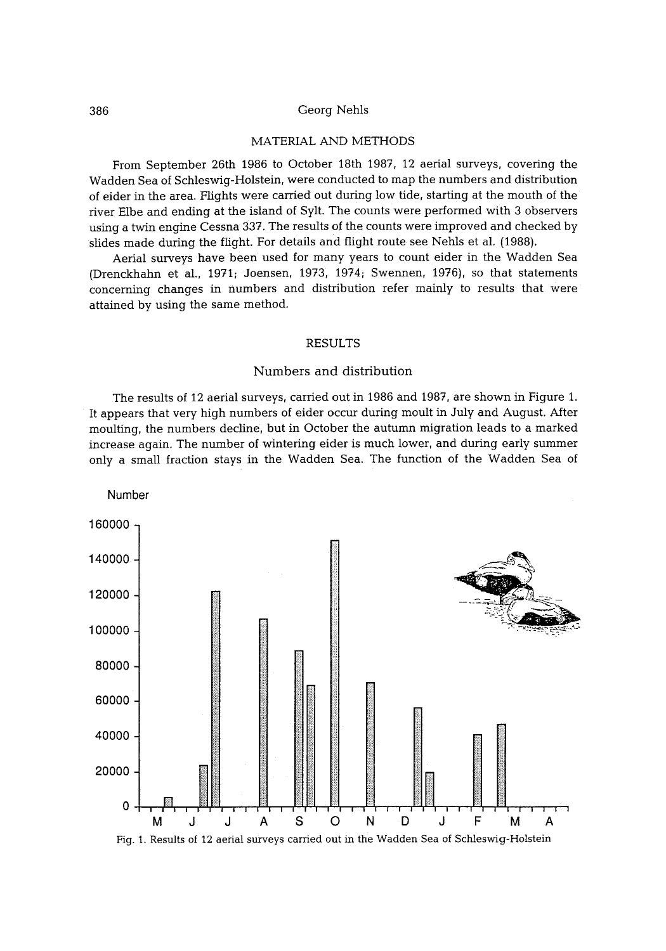#### 386 Georg Nehls

#### MATERIAL AND METHODS

From September 26th 1986 to October 18th 1987, 12 aerial surveys, covering the Wadden Sea of Schleswig-Holstein, were conducted to map the numbers and distribution of eider in the area. Flights were carried out during low tide, starting at the mouth of the river Elbe and ending at the island of Sylt. The counts were performed with 3 observers using a twin engine Cessna 337. The results of the counts were improved and checked by slides made during the flight. For details and flight route see Nehls et al. (1988).

Aerial surveys have been used for many years to count eider in the Wadden Sea (Drenckhahn et al., 1971; Joensen, 1973, 1974; Swennen, 1976), so that statements concerning changes in numbers and distribution refer mainly to results that were attained by using the same method.

#### RESULTS

#### Numbers and distribution

The results of 12 aerial surveys, carried out in 1986 and 1987, are shown in Figure 1. It appears that very high numbers of eider occur during moult in July and August. After moulting, the numbers decline, but in October the autumn migration leads to a marked increase again. The number of wintering eider is much lower, and during early summer only a small fraction stays in the Wadden Sea. The function of the Wadden Sea of

Number

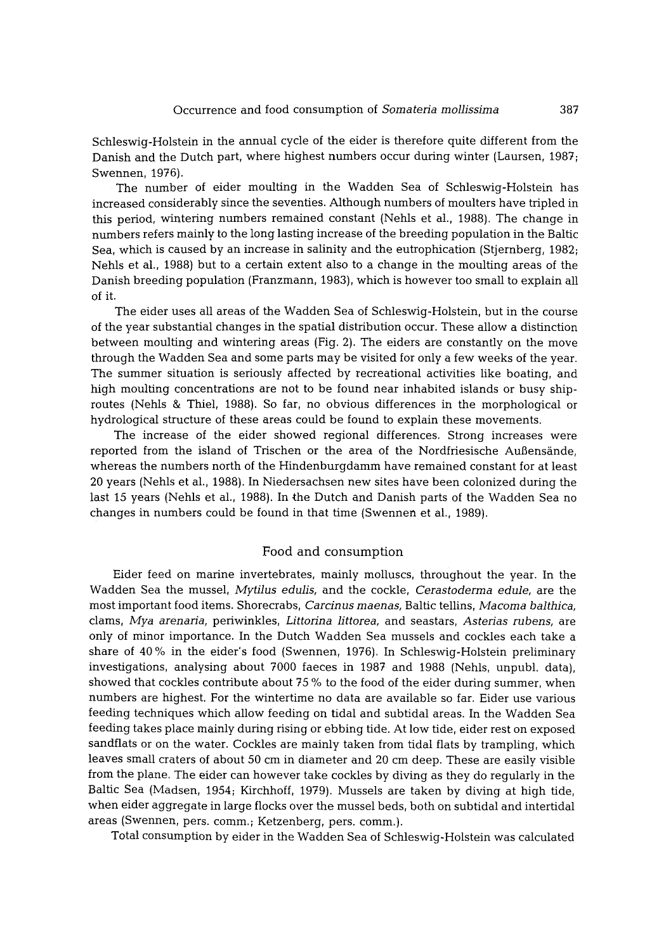Schleswig-Holstein in the annual cycle of the eider is therefore quite different from the Danish and the Dutch part, where highest numbers occur during winter (Laursen, 1987; Swennen, 1976).

The number of eider moulting in the Wadden Sea of Schleswig-Holstein has increased considerably since the seventies. Although numbers of moulters have tripled in this period, wintering numbers remained constant (Nehls et al., 1988). The change in numbers refers mainly to the long lasting increase of the breeding population in the Baltic Sea, which is caused by an increase in salinity and the eutrophication (Stjernberg, 1982; Nehls et al., 1988) but to a certain extent also to a change in the moulting areas of the Danish breeding population (Franzmann, 1983), which is however too small to explain all of it.

The eider uses all areas of the Wadden Sea of Schleswig-Holstein, but in the course of the year substantial changes in the spatial distribution occur. These allow a distinction between moulting and wintering areas (Fig. 2). The eiders are constantly on the move through the Wadden Sea and some parts may be visited for only a few weeks of the year. The summer situation is seriously affected by recreational activities like boating, and high moulting concentrations are not to be found near inhabited islands or busy shiproutes (Nehls & Thiel, 1988). So far, no obvious differences in the morphological or hydrological structure of these areas could be found to explain these movements.

The increase of the eider showed regional differences. Strong increases were reported from the island of Trischen or the area of the Nordfriesische Außensände, whereas the numbers north of the Hindenburgdamm have remained constant for at least 20 years (Nehls et al., 1988). In Niedersachsen new sites have been colonized during the last 15 years (Nehls et al., 1988). In the Dutch and Danish parts of the Wadden Sea no changes in numbers could be found in that time (Swennen et al., 1989).

#### Food and consumption

Eider feed on marine invertebrates, mainly molluscs, throughout the year. In the Wadden Sea the mussel, *Mytilus edulis*, and the cockle, *Cerastoderma edule*, are the most important food items. Shorecrabs, *Carcinus* maenas, Baltic tellins, *Macoma baIthica,*  clams, *Mya arenaria,* periwinkles, *Littorina littorea,* and seastars, *Asterias* rubens, are only of minor importance. In the Dutch Wadden Sea mussels and cockles each take a share of 40 % in the elder's food (Swennen, 1976). In Schleswig-Holstein preliminary investigations, analysing about 7000 faeces in 1987 and 1988 (Nehls, unpubl, data), showed that cockles contribute about 75 % to the food of the eider during summer, when numbers are highest. For the wintertime no data are available so far. Eider use various feeding techniques which allow feeding on tidal and subtidal areas. In the Wadden Sea feeding takes place mainly during rising or ebbing tide. At low tide, eider rest on exposed sandflats or on the water. Cockles are mainly taken from tidal flats by trampling, which leaves small craters of about 50 cm in diameter and 20 cm deep. These are easily visible from the plane. The eider can however take cockles by diving as they do regularly in the Baltic Sea (Madsen, 1954; Kirchhoff, 1979). Mussels are taken by diving at high tide, when eider aggregate in large flocks over the mussel beds, both on subtidal and intertidal areas (Swennen, pers. comm.; Ketzenberg, pers. comm.).

Total consumption by eider in the Wadden Sea of Schleswig-Holstein was calculated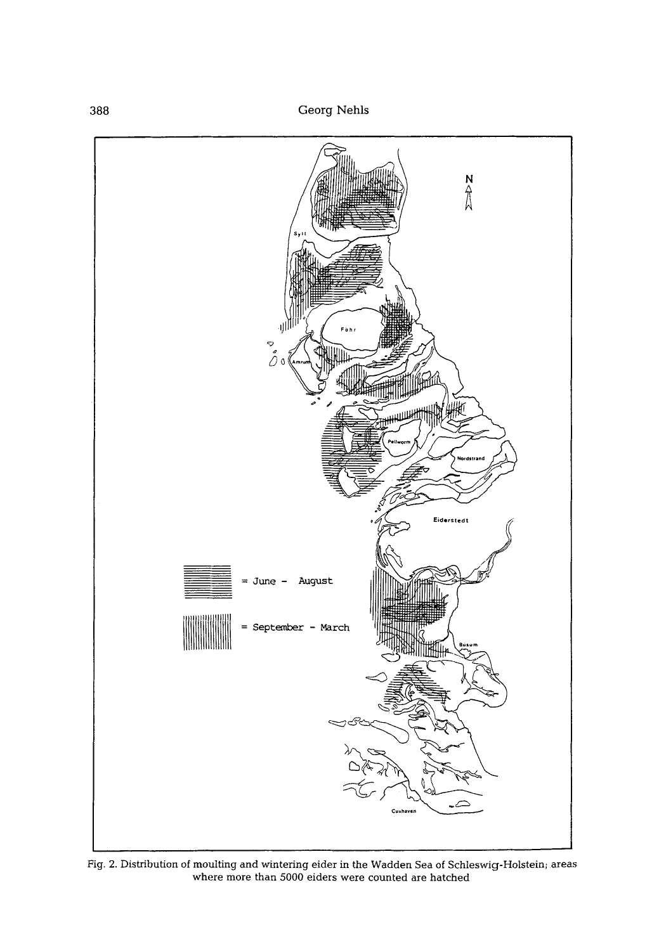

Fig. 2. Distribution of moulting and wintering eider in the Wadden Sea of Schleswig-Holstein; areas where more than 5000 eiders were counted are hatched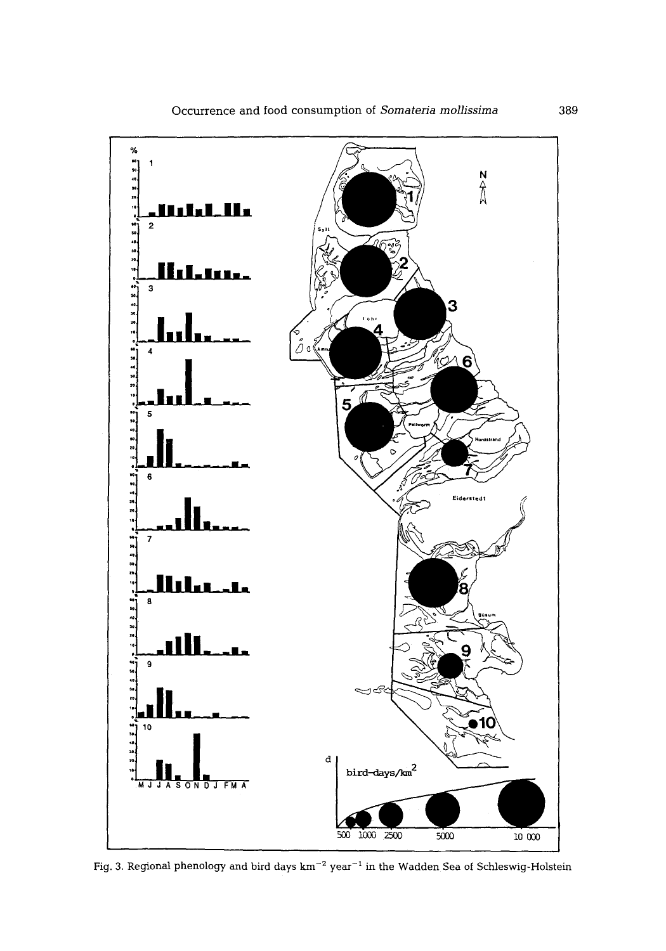

Fig. 3. Regional phenology and bird days  $\mathrm{km}^{-2}$  year  $^{-1}$  in the Wadden Sea of Schleswig-Holstein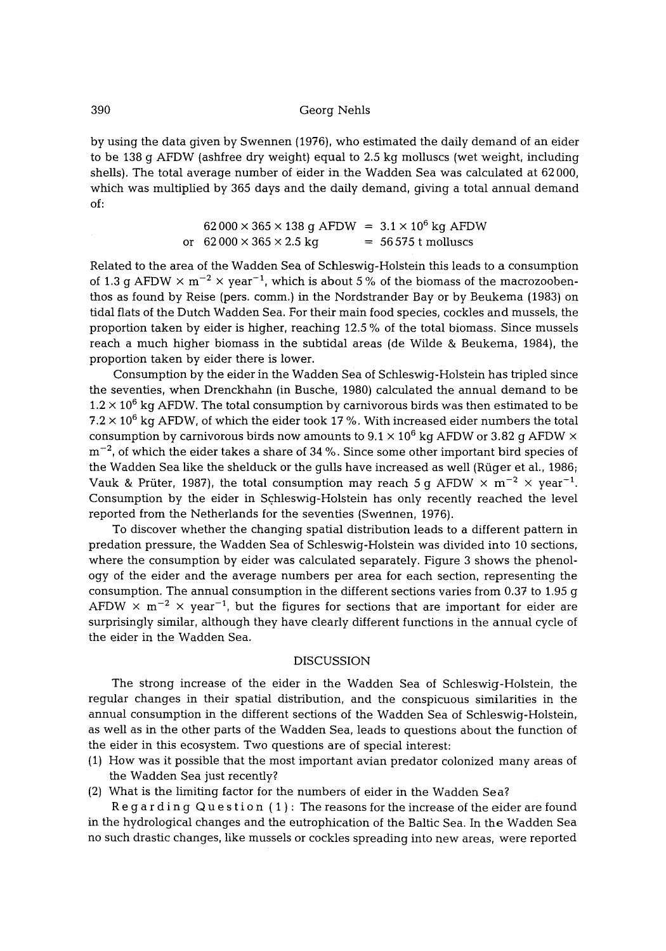by using the data given by Swennen (1976), who estimated the daily demand of an eider to be 138 g AFDW (ashfree dry weight) equal to 2.5 kg molluscs (wet weight, including shells). The total average number of eider in the Wadden Sea was calculated at 62 000, which was multiplied by 365 days and the daily demand, giving a total annual demand of:

> $62000 \times 365 \times 138$  g AFDW =  $3.1 \times 10^6$  kg AFDW or  $62000 \times 365 \times 2.5$  kg =  $56575$  t molluscs

Related to the area of the Wadden Sea of Schleswig-Holstein this leads to a consumption of 1.3 g AFDW  $\times$  m<sup>-2</sup>  $\times$  year<sup>-1</sup>, which is about 5% of the biomass of the macrozoobenthos as found by Reise (pers. comm.) in the Nordstrander Bay or by Beukema (1983) on tidal flats of the Dutch Wadden Sea. For their main food species, cockles and mussels, the proportion taken by eider is higher, reaching 12.5 % of the total biomass. Since mussels reach a much higher biomass in the subtidal areas (de Wilde & Beukema, 1984), the proportion taken by eider there is lower.

Consumption by the eider in the Wadden Sea of Schleswig-Holstein has tripled since the seventies, when Drenckhahn (in Busche, 1980) calculated the annual demand to be  $1.2 \times 10^6$  kg AFDW. The total consumption by carnivorous birds was then estimated to be 7.2  $\times$  10<sup>6</sup> kg AFDW, of which the eider took 17 %. With increased eider numbers the total consumption by carnivorous birds now amounts to  $9.1 \times 10^6$  kg AFDW or 3.82 g AFDW  $\times$  $\rm m^{-2}$ , of which the eider takes a share of 34 %. Since some other important bird species of the Wadden Sea like the shelduck or the gulls have increased as well (Rüger et al., 1986; Vauk & Prüter, 1987), the total consumption may reach 5 g AFDW  $\times$  m<sup>-2</sup>  $\times$  year<sup>-1</sup>. Consumption by the eider in Schleswig-Holstein has only recently reached the level reported from the Netherlands for the seventies (Swennen, 1976).

To discover whether the changing spatial distribution leads to a different pattern in predation pressure, the Wadden Sea of Schleswig-Holstein was divided into 10 sections, where the consumption by eider was calculated separately. Figure 3 shows the phenology of the eider and the average numbers per area for each section, representing the consumption. The annual consumption in the different sections varies from 0.37 to 1.95 g AFDW  $\times$  m<sup>-2</sup>  $\times$  year<sup>-1</sup>, but the figures for sections that are important for eider are surprisingly similar, although they have clearly different functions in the annual cycle of the eider in the Wadden Sea.

#### DISCUSSION

The strong increase of the eider in the Wadden Sea of Schleswig-Holstein, the regular changes in their spatial distribution, and the conspicuous similarities in the annual consumption in the different sections of the Wadden Sea of Schleswig-Holstein, as well as in the other parts of the Wadden Sea, leads to questions about the function of the eider in this ecosystem. Two questions are of special interest:

- (1) How was it possible that the most important avian predator colonized many areas of the Wadden Sea just recently?
- (2) What is the limiting factor for the numbers of eider in the Wadden Sea?

Regarding Question (1): The reasons for the increase of the eider are found in the hydrological changes and the eutrophication of the Baltic Sea. In the Wadden Sea no such drastic changes, like mussels or cockles spreading into new areas, were reported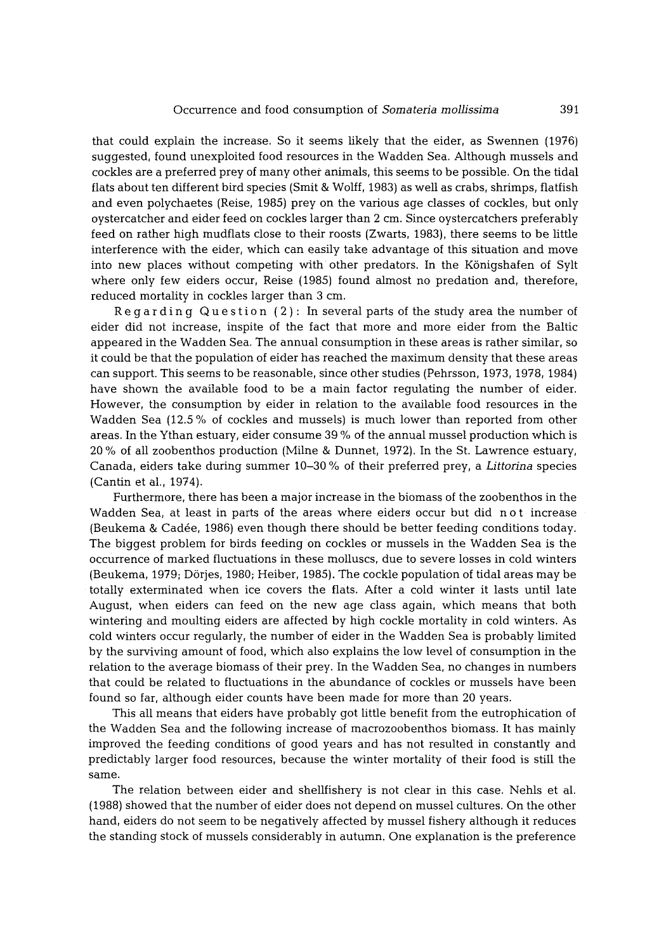that could explain the increase. So it seems likely that the eider, as Swennen (1976) suggested, found unexploited food resources in the Wadden Sea. Although mussels and cockles are a preferred prey of many other animals, this seems to be possible. On the tidal flats about ten different bird species (Smit & Wolff, 1983) as well as crabs, shrimps, flatfish and even polychaetes (Reise, 1985) prey on the various age classes of cockles, but only oystercatcher and eider feed on cockles larger than 2 cm. Since oystercatchers preferably feed on rather high mudflats close to their roosts (Zwarts, 1983), there seems to be little interference with the eider, which can easily take advantage of this situation and move into new places without competing with other predators. In the Königshafen of Sylt where only few eiders occur, Reise (1985) found almost no predation and, therefore, reduced mortality in cockles larger than 3 cm.

Regarding Question (2): In several parts of the study area the number of eider did not increase, inspite of the fact that more and more eider from the Baltic appeared in the Wadden Sea. The annual consumption in these areas is rather similar, so it could be that the population of eider has reached the maximum density that these areas can support. This seems to be reasonable, since other studies (Pehrsson, 1973, 1978, 1984) have shown the available food to be a main factor regulating the number of eider. However, the consumption by eider in relation to the available food resources in the Wadden Sea (12.5 % of cockles and mussels) is much lower than reported from other areas. In the Ythan estuary, eider consume 39 % of the annual mussel production which is 20 % of all zoobenthos production (Milne & Dunnet, 1972). In the St. Lawrence estuary, Canada, eiders take during summer 10-30 % of their preferred prey, a *Littorina* species (Cantin et al., 1974).

Furthermore, there has been a major increase in the biomass of the zoobenthos in the Wadden Sea, at least in parts of the areas where eiders occur but did not increase (Beukema & Cad6e, 1986) even though there should be better feeding conditions today. The biggest problem for birds feeding on cockles or mussels in the Wadden Sea is the occurrence of marked fluctuations in these molluscs, due to severe losses in cold winters (Beukema, 1979; Dörjes, 1980; Heiber, 1985). The cockle population of tidal areas may be totally exterminated when ice covers the flats. After a cold winter it lasts until late August, when eiders can feed on the new age class again, which means that both wintering and moulting eiders are affected by high cockle mortality in cold winters. As cold winters occur regularly, the number of eider in the Wadden Sea is probably limited by the surviving amount of food, which also explains the low level of consumption in the relation to the average biomass of their prey. In the Wadden Sea, no changes in numbers that could be related to fluctuations in the abundance of cockles or mussels have been found so far, although eider counts have been made for more than 20 years.

This all means that eiders have probably got little benefit from the eutrophication of the Wadden Sea and the following increase of macrozoobenthos biomass. It has mainly improved the feeding conditions of good years and has not resulted in constantly and predictably larger food resources, because the winter mortality of their food is still the same.

The relation between eider and shellfishery is not clear in this case. Nehls et al. (1988) showed that the number of eider does not depend on mussel cultures. On the other hand, eiders do not seem to be negatively affected by mussel fishery although it reduces the standing stock of mussels considerably in autumn. One explanation is the preference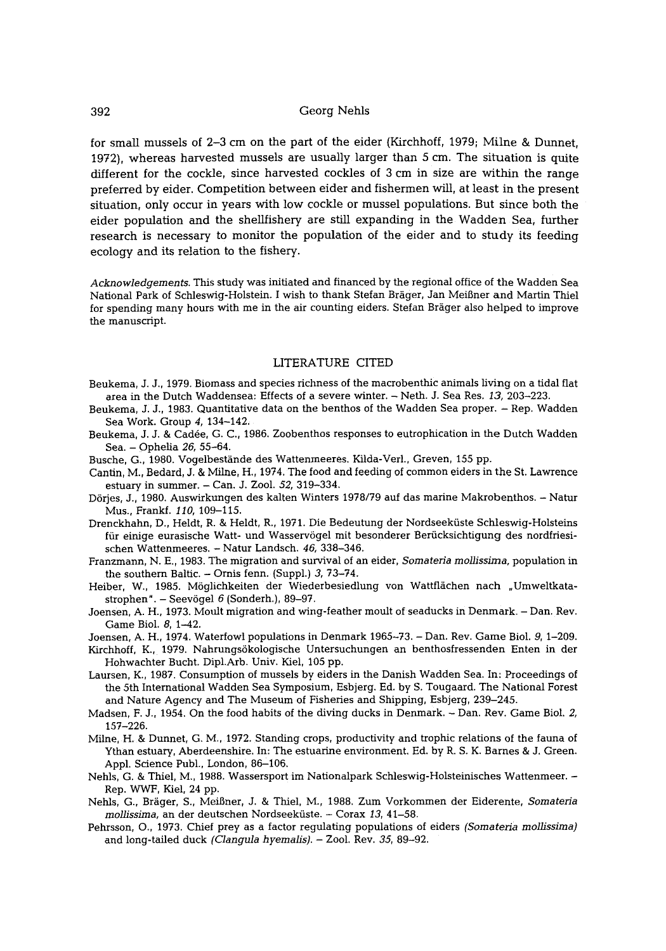for small mussels of 2-3 cm on the part of the eider (Kirchhoff, 1979; Milne & Dunnet, 1972), whereas harvested mussels are usually larger than 5 cm. The situation is quite different for the cockle, since harvested cockles of 3 cm in size are within the range preferred by eider. Competition between eider and fishermen will, at least in the present situation, only occur in years with low cockle or mussel populations. But since both the eider population and the shellfishery are still expanding in the Wadden Sea, further research is necessary to monitor the population of the eider and to study its feeding ecology and its relation to the fishery.

*Acknowledgements.* This study was initiated and financed by the regional office of the Wadden Sea National Park of Schleswig-Holstein. I wish to thank Stefan Bräger, Jan Meißner and Martin Thiel for spending many hours with me in the air counting eiders. Stefan Bräger also helped to improve the manuscript.

#### LITERATURE CITED

- Beukema, J. J., 1979. Biomass and species richness of the macrobenthic animals hving on a tidal fiat area in the Dutch Waddensea: Effects of a severe winter. - Neth. J. Sea Res. *13,* 203-223.
- Beukema, J. J., 1983. Quantitative data on the benthos of the Wadden Sea proper. Rep. Wadden Sea Work. Group *4,* 134-142,
- Beukema, J. J. & Cadée, G. C., 1986. Zoobenthos responses to eutrophication in the Dutch Wadden Sea. - Ophelia *26, 55-64.*
- Busche, G., 1980. Vogelbestände des Wattenmeeres. Kilda-Verl., Greven, 155 pp.
- Cantin, M., Bedard, J. & Milne, H., 1974. The food and feeding of common eiders in the St. Lawrence estuary in summer. - Can. J. Zool. *52,* 319-334.
- D6rjes, J., 1980. Auswirkungen des kalten Winters 1978/79 auf das marine Makrobenthos. Natur Mus., Frankf. *110,* 109-115.
- Drenckhahn, D., Heldt, R. & Heldt, R., 1971. Die Bedeutung der Nordseekfiste Schleswig-Holsteins für einige eurasische Watt- und Wasservögel mit besonderer Berücksichtigung des nordfriesischen Wattenmeeres. - Natur Landsch. *46,* 338-346.
- Franzmann, N. E., 1983. The migration and survival of an eider, *Somateria mollissima,* population in the southern Baltic.  $-$  Ornis fenn. (Suppl.) 3, 73-74.
- Heiber, W., 1985. Möglichkeiten der Wiederbesiedlung von Wattflächen nach "Umweltkatastrophen". - Seevögel 6 (Sonderh.), 89-97.
- Joensen, A. H., 1973. Moult migration and wing-feather moult of seaducks in Denmark. Dan. Rev. Game Biol. 8, 1-42.
- Joensen, A. H., 1974. Waterfowl populations in Denmark 1965-73. Dan. Rev. Game Biol. 9, 1-209.
- Kirchhoff, K., 1979. Nahrungsökologische Untersuchungen an benthosfressenden Enten in der Hohwachter Bucht. Dipl.Arb. Univ. Kiel, 105 pp.
- Laursen, K., 1987. Consumption of mussels by eiders in the Danish Wadden Sea. In: Proceedings of the 5th International Wadden Sea Symposium, Esbjerg. Ed. by S. Tougaard. The National Forest and Nature Agency and The Museum of Fisheries and Shipping, Esbjerg, 239-245.
- Madsen, F. J., 1954. On the food habits of the diving ducks in Denmark. Dan. Rev. Game Biol. *2,*  157-226.
- Milne, H. & Dunnet, G. M., 1972. Standing crops, productivity and trophic relations of the fauna of Ythan estuary, Aberdeenshire. In: The estuarine environment. Ed. by R. S. K. Barnes & J. Green. Appl. Science Publ., London, 86-106.
- Nehls, G. & Thiel, M., 1988. Wassersport im Nationalpark Schleswig-Holsteinisches Wattenmeer. Rep. WWF, Kiel, 24 pp.
- Nehls, G., Br~iger, S., MeiBner, J. & Thiel, M., 1988. Zum Vorkommen der Eiderente, *Somatena mollissima,* an der deutschen Nordseekfiste. - Corax *13,* 41-58.
- Pehrsson, O., 1973. Chief prey as a factor regulating populations of eiders *(Somateria mollissima)*  and long-tailed duck *(Clangula hyemalis).* - Zool. Rev. *35,* 89-92.